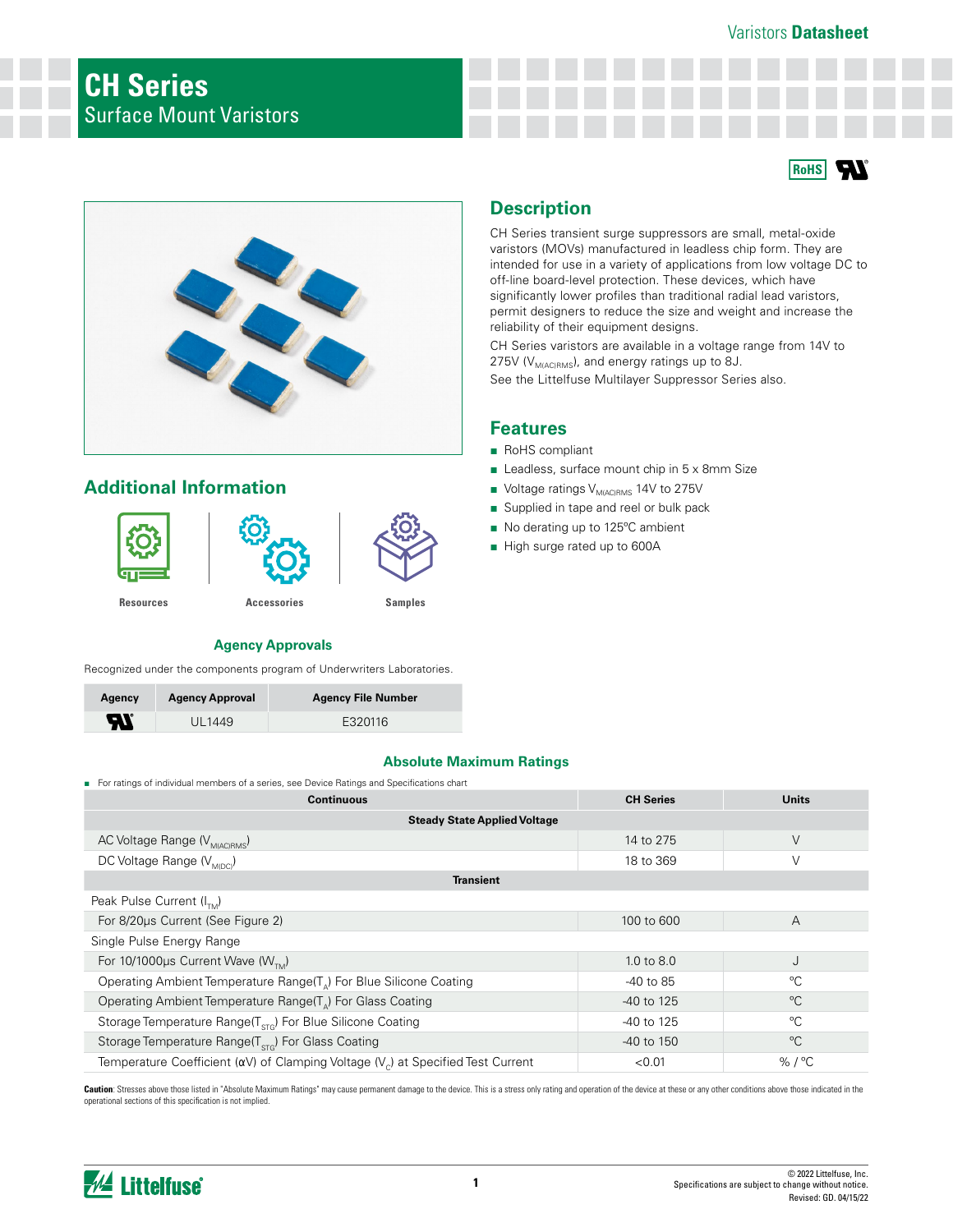### Varistors **Datasheet**





# **Additional Information**



# **Description**

CH Series transient surge suppressors are small, metal-oxide varistors (MOVs) manufactured in leadless chip form. They are intended for use in a variety of applications from low voltage DC to off-line board-level protection. These devices, which have significantly lower profiles than traditional radial lead varistors, permit designers to reduce the size and weight and increase the reliability of their equipment designs.

CH Series varistors are available in a voltage range from 14V to 275V ( $V_{M(AC)RMS}$ ), and energy ratings up to 8J.

See the Littelfuse Multilayer Suppressor Series also.

### **Features**

- RoHS compliant
- Leadless, surface mount chip in 5 x 8mm Size
- Voltage ratings V<sub>M(AC)RMS</sub> 14V to 275V
- Supplied in tape and reel or bulk pack
- No derating up to 125°C ambient
- High surge rated up to 600A

### **Agency Approvals**

Recognized under the components program of Underwriters Laboratories.

| Agency                     | <b>Agency Approval</b> | <b>Agency File Number</b> |
|----------------------------|------------------------|---------------------------|
| $\boldsymbol{\mathcal{H}}$ | UL1449                 | E320116                   |

### **Absolute Maximum Ratings**

■ For ratings of individual members of a series, see Device Ratings and Specifications chart

| <b>Continuous</b>                                                                              | <b>CH Series</b> | <b>Units</b>     |  |  |  |
|------------------------------------------------------------------------------------------------|------------------|------------------|--|--|--|
| <b>Steady State Applied Voltage</b>                                                            |                  |                  |  |  |  |
| AC Voltage Range (V <sub>M(AC)RMS</sub> )                                                      | 14 to 275        | V                |  |  |  |
| DC Voltage Range (V <sub>MOC)</sub>                                                            | 18 to 369        | V                |  |  |  |
| Transient                                                                                      |                  |                  |  |  |  |
| Peak Pulse Current $(I_{\tau_{M}})$                                                            |                  |                  |  |  |  |
| For 8/20us Current (See Figure 2)                                                              | 100 to 600       | Α                |  |  |  |
| Single Pulse Energy Range                                                                      |                  |                  |  |  |  |
| For 10/1000 $\mu$ s Current Wave (W <sub>TM</sub> )                                            | 1.0 to $8.0$     | J                |  |  |  |
| Operating Ambient Temperature Range(T <sub>n</sub> ) For Blue Silicone Coating                 | -40 to 85        | °C               |  |  |  |
| Operating Ambient Temperature Range(T <sub>a</sub> ) For Glass Coating                         | -40 to 125       | °C               |  |  |  |
| Storage Temperature Range( $T_{\text{STG}}$ ) For Blue Silicone Coating                        | -40 to 125       | °C               |  |  |  |
| Storage Temperature Range(T <sub>STG</sub> ) For Glass Coating                                 | $-40$ to 150     | $^{\circ}C$      |  |  |  |
| Temperature Coefficient ( $\alpha V$ ) of Clamping Voltage ( $V_c$ ) at Specified Test Current | < 0.01           | % / $^{\circ}$ C |  |  |  |

Caution: Stresses above those listed in "Absolute Maximum Ratings" may cause permanent damage to the device. This is a stress only rating and operation of the device at these or any other conditions above those indicated i operational sections of this specification is not implied.

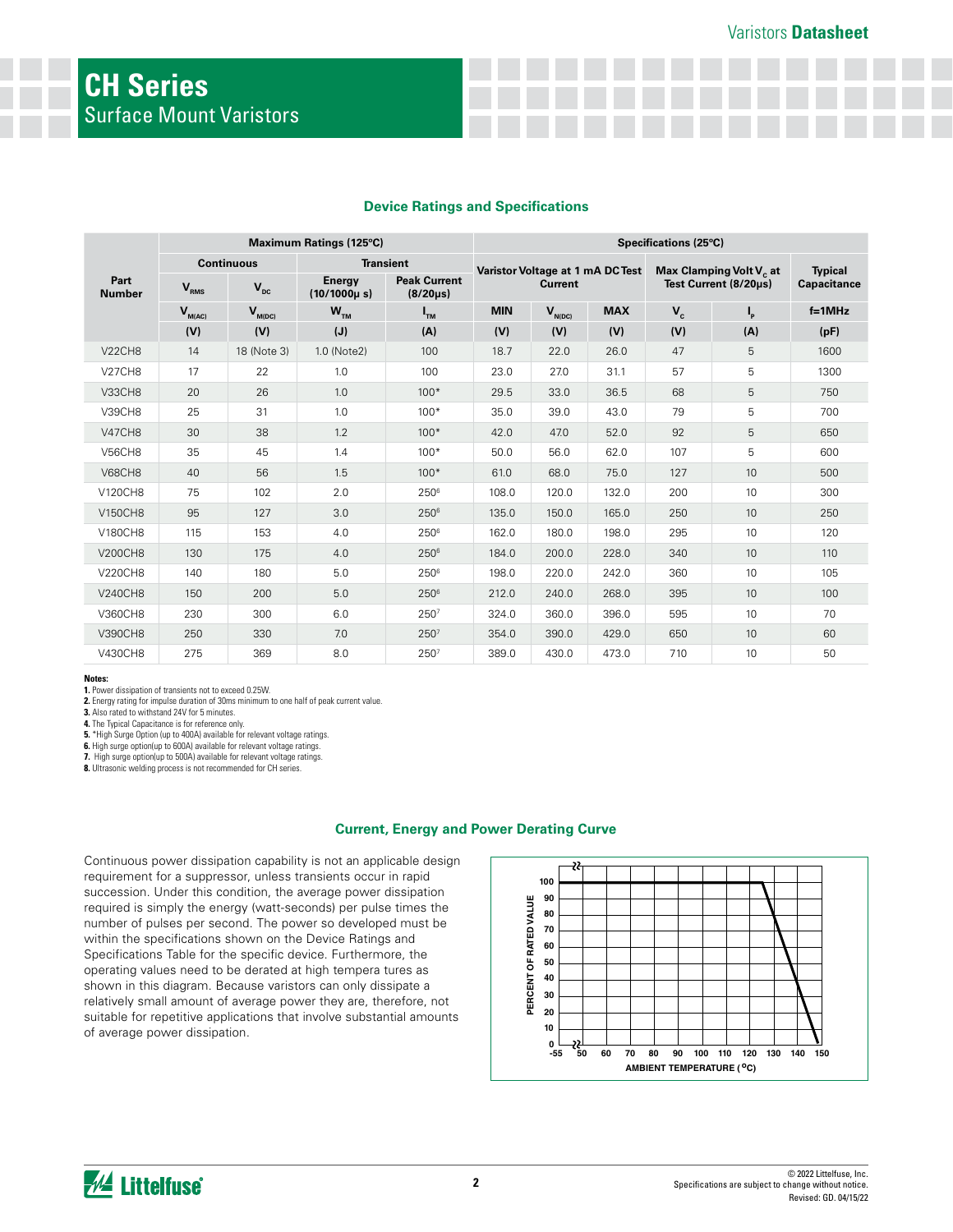### **Device Ratings and Specifications**

| Maximum Ratings (125°C)               |             |                                                                                           | Specifications (25°C)      |                                       |                |             |                       |                      |                    |          |
|---------------------------------------|-------------|-------------------------------------------------------------------------------------------|----------------------------|---------------------------------------|----------------|-------------|-----------------------|----------------------|--------------------|----------|
| <b>Continuous</b><br><b>Transient</b> |             | Varistor Voltage at 1 mA DC Test<br>Max Clamping Volt V <sub>c</sub> at<br><b>Typical</b> |                            |                                       |                |             |                       |                      |                    |          |
| Part<br><b>Number</b>                 | $V_{RMS}$   | $V_{\text{pc}}$                                                                           | Energy<br>$(10/1000\mu s)$ | <b>Peak Current</b><br>$(8/20 \mu s)$ | <b>Current</b> |             | Test Current (8/20µs) |                      | <b>Capacitance</b> |          |
|                                       | $V_{M(AC)}$ | $V_{M(DC)}$                                                                               | $W_{TM}$                   | $I_{TM}$                              | <b>MIN</b>     | $V_{N(DC)}$ | <b>MAX</b>            | $\mathbf{V}_{\rm c}$ | Ι,                 | $f=1MHz$ |
|                                       | (V)         | (V)                                                                                       | (J)                        | (A)                                   | (V)            | (V)         | (V)                   | (V)                  | (A)                | (pF)     |
| <b>V22CH8</b>                         | 14          | 18 (Note 3)                                                                               | 1.0 (Note2)                | 100                                   | 18.7           | 22.0        | 26.0                  | 47                   | 5                  | 1600     |
| <b>V27CH8</b>                         | 17          | 22                                                                                        | 1.0                        | 100                                   | 23.0           | 27.0        | 31.1                  | 57                   | 5                  | 1300     |
| V33CH8                                | 20          | 26                                                                                        | 1.0                        | $100*$                                | 29.5           | 33.0        | 36.5                  | 68                   | 5                  | 750      |
| <b>V39CH8</b>                         | 25          | 31                                                                                        | 1.0                        | $100*$                                | 35.0           | 39.0        | 43.0                  | 79                   | 5                  | 700      |
| <b>V47CH8</b>                         | 30          | 38                                                                                        | 1.2                        | $100*$                                | 42.0           | 47.0        | 52.0                  | 92                   | 5                  | 650      |
| <b>V56CH8</b>                         | 35          | 45                                                                                        | 1.4                        | $100*$                                | 50.0           | 56.0        | 62.0                  | 107                  | 5                  | 600      |
| <b>V68CH8</b>                         | 40          | 56                                                                                        | 1.5                        | $100*$                                | 61.0           | 68.0        | 75.0                  | 127                  | 10                 | 500      |
| V120CH8                               | 75          | 102                                                                                       | 2.0                        | 2506                                  | 108.0          | 120.0       | 132.0                 | 200                  | 10                 | 300      |
| <b>V150CH8</b>                        | 95          | 127                                                                                       | 3.0                        | 2506                                  | 135.0          | 150.0       | 165.0                 | 250                  | 10 <sup>1</sup>    | 250      |
| <b>V180CH8</b>                        | 115         | 153                                                                                       | 4.0                        | $250^6$                               | 162.0          | 180.0       | 198.0                 | 295                  | 10 <sup>1</sup>    | 120      |
| <b>V200CH8</b>                        | 130         | 175                                                                                       | 4.0                        | 2506                                  | 184.0          | 200.0       | 228.0                 | 340                  | 10                 | 110      |
| <b>V220CH8</b>                        | 140         | 180                                                                                       | 5.0                        | 2506                                  | 198.0          | 220.0       | 242.0                 | 360                  | 10 <sup>1</sup>    | 105      |
| <b>V240CH8</b>                        | 150         | 200                                                                                       | 5.0                        | 2506                                  | 212.0          | 240.0       | 268.0                 | 395                  | 10                 | 100      |
| V360CH8                               | 230         | 300                                                                                       | 6.0                        | 2507                                  | 324.0          | 360.0       | 396.0                 | 595                  | 10                 | 70       |
| V390CH8                               | 250         | 330                                                                                       | 7.0                        | 2507                                  | 354.0          | 390.0       | 429.0                 | 650                  | 10                 | 60       |
| V430CH8                               | 275         | 369                                                                                       | 8.0                        | 250 <sup>7</sup>                      | 389.0          | 430.0       | 473.0                 | 710                  | 10                 | 50       |

#### **Notes:**

**1.** Power dissipation of transients not to exceed 0.25W.

**2.** Energy rating for impulse duration of 30ms minimum to one half of peak current value. **3.** Also rated to withstand 24V for 5 minutes.

**4.** The Typical Capacitance is for reference only.

**5.** \*High Surge Option (up to 400A) available for relevant voltage ratings.

**6.** High surge option(up to 600A) available for relevant voltage ratings.

**7.** High surge option(up to 500A) available for relevant voltage ratings. **8.** Ultrasonic welding process is not recommended for CH series.

#### **Current, Energy and Power Derating Curve**

Continuous power dissipation capability is not an applicable design requirement for a suppressor, unless transients occur in rapid succession. Under this condition, the average power dissipation required is simply the energy (watt-seconds) per pulse times the number of pulses per second. The power so developed must be within the specifications shown on the Device Ratings and Specifications Table for the specific device. Furthermore, the operating values need to be derated at high tempera tures as shown in this diagram. Because varistors can only dissipate a relatively small amount of average power they are, therefore, not suitable for repetitive applications that involve substantial amounts of average power dissipation.



**W** Littelfuse®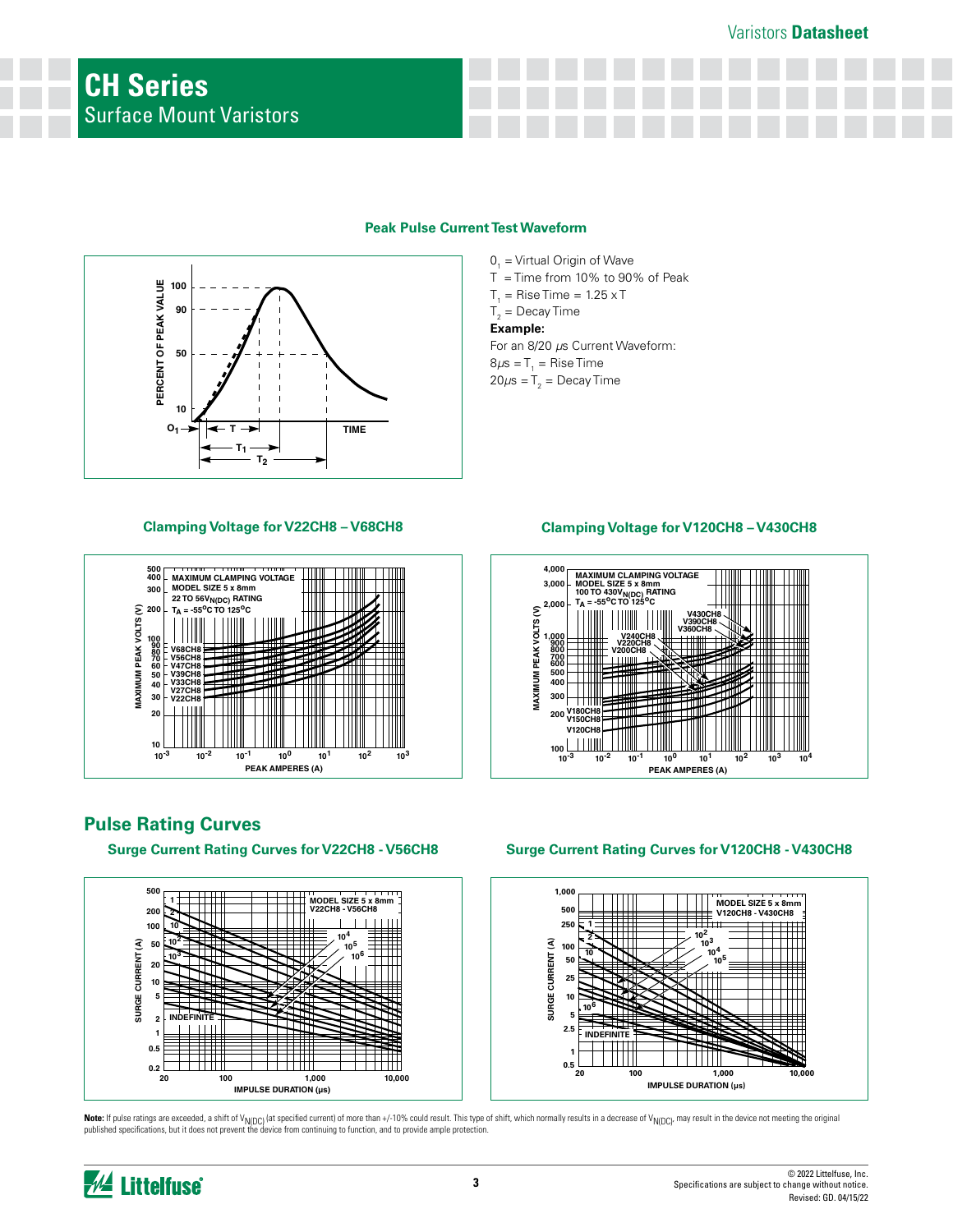

### **Peak Pulse Current Test Waveform**

 $T_1 =$  Rise Time = 1.25 x T  $T_2$  = Decay Time **The Example:** For an 8/20 *µ*s Current Waveform: Example: For an 8/20 s Current Waveform:  $0<sub>1</sub>$  = Virtual Origin of Wave  $T =$  Time from 10% to 90% of Peak



**Pulse Rating Curves**

**Surge Current Rating Curves for V22CH8 - V56CH8**



# **Surge Current Rating Curves for V120CH8 - V430CH8**



**Note:** If pulse ratings are exceeded, a shift of V<sub>N(DC)</sub> (at specified current) of more than +/-10% could result. This type of shift, which normally results in a decrease of V<sub>N(DC)</sub>, may result in the device not meeting



## **Clamping Voltage for V22CH8 – V68CH8 Clamping Voltage for V120CH8 – V430CH8**



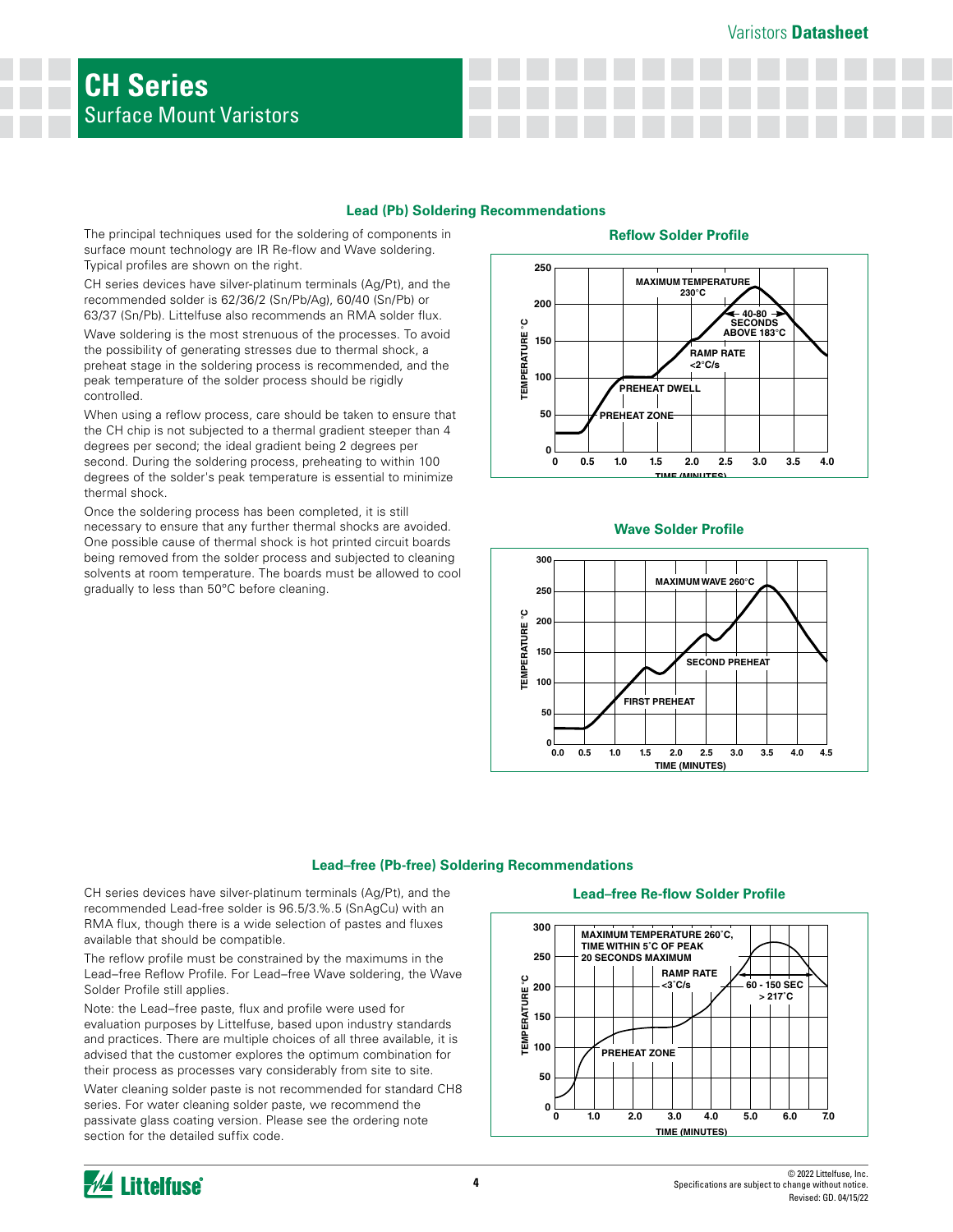### Varistors **Datasheet**

### **Lead (Pb) Soldering Recommendations**

The principal techniques used for the soldering of components in surface mount technology are IR Re-flow and Wave soldering. Typical profiles are shown on the right.

CH series devices have silver-platinum terminals (Ag/Pt), and the recommended solder is 62/36/2 (Sn/Pb/Ag), 60/40 (Sn/Pb) or 63/37 (Sn/Pb). Littelfuse also recommends an RMA solder flux.

Wave soldering is the most strenuous of the processes. To avoid the possibility of generating stresses due to thermal shock, a preheat stage in the soldering process is recommended, and the peak temperature of the solder process should be rigidly controlled.

When using a reflow process, care should be taken to ensure that the CH chip is not subjected to a thermal gradient steeper than 4 degrees per second; the ideal gradient being 2 degrees per second. During the soldering process, preheating to within 100 degrees of the solder's peak temperature is essential to minimize thermal shock.

Once the soldering process has been completed, it is still necessary to ensure that any further thermal shocks are avoided. One possible cause of thermal shock is hot printed circuit boards being removed from the solder process and subjected to cleaning solvents at room temperature. The boards must be allowed to cool gradually to less than 50ºC before cleaning.

### **Reflow Solder Profile**



#### **Wave Solder Profile**



# Lead–free (Pb-free) Soldering Recommendations

CH series devices have silver-platinum terminals (Ag/Pt), and the recommended Lead-free solder is 96.5/3.%.5 (SnAgCu) with an RMA flux, though there is a wide selection of pastes and fluxes available that should be compatible.

The reflow profile must be constrained by the maximums in the Lead–free Reflow Profile. For Lead–free Wave soldering, the Wave Solder Profile still applies.

Note: the Lead–free paste, flux and profile were used for evaluation purposes by Littelfuse, based upon industry standards and practices. There are multiple choices of all three available, it is advised that the customer explores the optimum combination for their process as processes vary considerably from site to site.

Water cleaning solder paste is not recommended for standard CH8 series. For water cleaning solder paste, we recommend the passivate glass coating version. Please see the ordering note section for the detailed suffix code.

#### **Lead-free Re-flow Solder Profile**



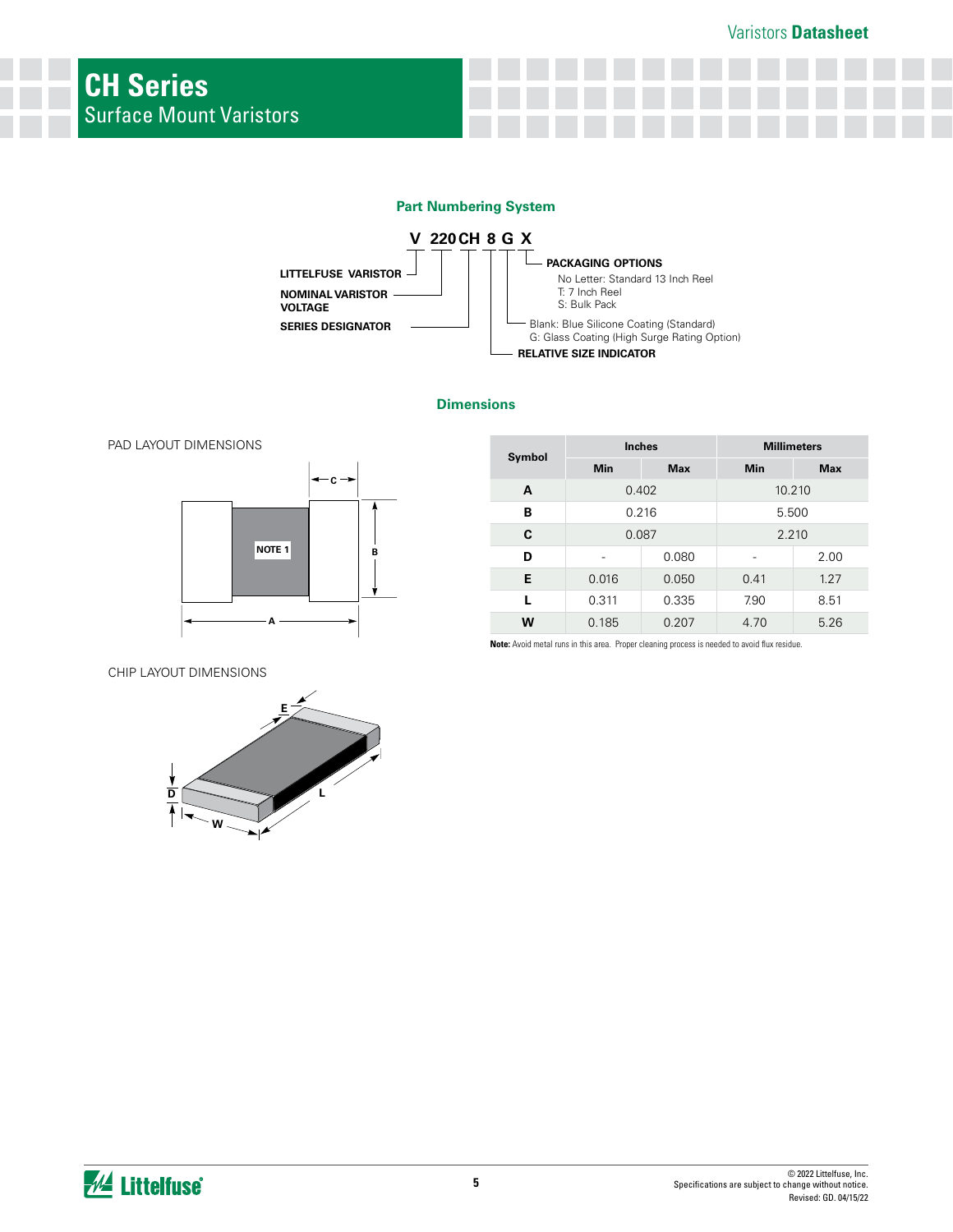







|        | <b>Inches</b> |            | <b>Millimeters</b> |            |  |
|--------|---------------|------------|--------------------|------------|--|
| Symbol | Min           | <b>Max</b> | Min                | <b>Max</b> |  |
| A      | 0.402         |            | 10.210             |            |  |
| в      | 0.216         |            | 5.500              |            |  |
| C      | 0.087         |            | 2.210              |            |  |
| D      |               | 0.080      |                    | 2.00       |  |
| Е      | 0.016         | 0.050      | 0.41               | 1.27       |  |
| L      | 0.311         | 0.335      | 7.90               | 8.51       |  |
| W      | 0.185         | 0.207      | 4.70               | 5.26       |  |

CHIP LAYOUT DIMENSIONS



**Note:** Avoid metal runs in this area. Proper cleaning process is needed to avoid flux residue.